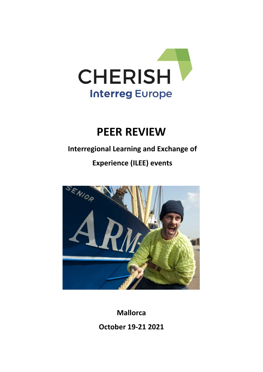

# **PEER REVIEW**

# **Interregional Learning and Exchange of**

# **Experience (ILEE) events**



**Mallorca** 

**October 19-21 2021**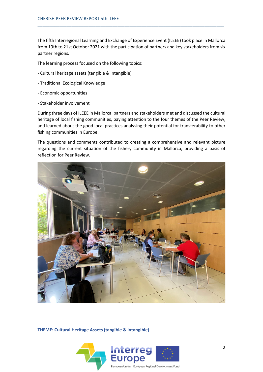The fifth Interregional Learning and Exchange of Experience Event (ILEEE) took place in Mallorca from 19th to 21st October 2021 with the participation of partners and key stakeholders from six partner regions.

\_\_\_\_\_\_\_\_\_\_\_\_\_\_\_\_\_\_\_\_\_\_\_\_\_\_\_\_\_\_\_\_\_\_\_\_\_\_\_\_\_\_\_\_\_\_\_\_\_\_\_\_\_\_\_\_\_\_\_\_\_\_\_\_\_\_\_\_\_\_\_\_\_\_\_\_\_

The learning process focused on the following topics:

- Cultural heritage assets (tangible & intangible)
- Traditional Ecological Knowledge
- Economic opportunities
- Stakeholder involvement

During three days of ILEEE in Mallorca, partners and stakeholders met and discussed the cultural heritage of local fishing communities, paying attention to the four themes of the Peer Review, and learned about the good local practices analysing their potential for transferability to other fishing communities in Europe.

The questions and comments contributed to creating a comprehensive and relevant picture regarding the current situation of the fishery community in Mallorca, providing a basis of reflection for Peer Review.



**THEME: Cultural Heritage Assets (tangible & intangible)**

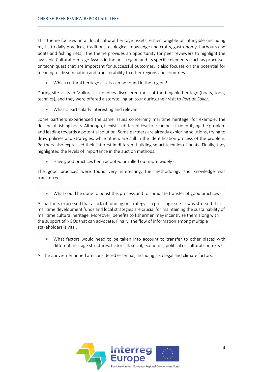This theme focuses on all local cultural heritage assets, either tangible or intangible (including myths to daily practices, traditions, ecological knowledge and crafts, gastronomy, harbours and boats and fishing nets). The theme provides an opportunity for peer reviewers to highlight the available Cultural Heritage Assets in the host region and its specific elements (such as processes or techniques) that are important for successful outcomes. It also focuses on the potential for meaningful dissemination and transferability to other regions and countries.

\_\_\_\_\_\_\_\_\_\_\_\_\_\_\_\_\_\_\_\_\_\_\_\_\_\_\_\_\_\_\_\_\_\_\_\_\_\_\_\_\_\_\_\_\_\_\_\_\_\_\_\_\_\_\_\_\_\_\_\_\_\_\_\_\_\_\_\_\_\_\_\_\_\_\_\_\_

• Which cultural heritage assets can be found in the region?

During site visits in Mallorca, attendees discovered most of the tangible heritage (boats, tools, technics), and they were offered a storytelling on tour during their visit to *Port de Sóller*.

• What is particularly interesting and relevant?

Some partners experienced the same issues concerning maritime heritage, for example, the decline of fishing boats. Although, it exists a different level of readiness in identifying the problem and leading towards a potential solution. Some partners are already exploring solutions, trying to draw policies and strategies, while others are still in the identification process of the problem. Partners also expressed their interest in different building smart technics of boats. Finally, they highlighted the levels of importance in the auction methods.

• Have good practices been adopted or rolled out more widely?

The good practices were found very interesting, the methodology and knowledge was transferred.

• What could be done to boost this process and to stimulate transfer of good practices?

All partners expressed that a lack of funding or strategy is a pressing issue. It was stressed that maritime development funds and local strategies are crucial for maintaining the sustainability of maritime cultural heritage. Moreover, benefits to fishermen may incentivize them along with the support of NGOs that can advocate. Finally, the flow of information among multiple stakeholders is vital.

• What factors would need to be taken into account to transfer to other places with different heritage structures, historical, social, economic, political or cultural contexts?

All the above-mentioned are considered essential, including also legal and climate factors.

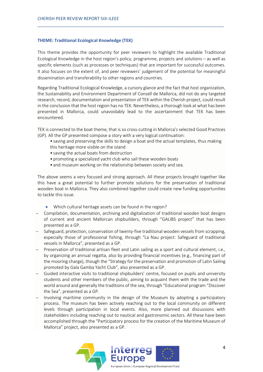#### **THEME: Traditional Ecological Knowledge (TEK)**

This theme provides the opportunity for peer reviewers to highlight the available Traditional Ecological Knowledge in the host region's policy, programme, projects and solutions – as well as specific elements (such as processes or techniques) that are important for successful outcomes. It also focuses on the extent of, and peer reviewers' judgement of the potential for meaningful dissemination and transferability to other regions and countries.

\_\_\_\_\_\_\_\_\_\_\_\_\_\_\_\_\_\_\_\_\_\_\_\_\_\_\_\_\_\_\_\_\_\_\_\_\_\_\_\_\_\_\_\_\_\_\_\_\_\_\_\_\_\_\_\_\_\_\_\_\_\_\_\_\_\_\_\_\_\_\_\_\_\_\_\_\_

Regarding Traditional Ecological Knowledge, a cursory glance and the fact that host organization, the Sustainability and Environment Department of Consell de Mallorca, did not do any targeted research, record, documentation and presentation of TEK within the Cherish project, could result in the conclusion that the host region has no TEK. Nevertheless, a thorough look at what has been presented in Mallorca, could unavoidably lead to the ascertainment that TEK has been encountered.

TEK is connected to the boat theme, that is so cross-cutting in Mallorca's selected Good Practices (GP). All the GP presented compose a story with a very logical continuation:

- saving and preserving the skills to design a boat and the actual templates, thus making this heritage more visible on the island
- saving the actual boats from destruction
- promoting a specialized yacht club who sail these wooden boats
- and museum working on the relationship between society and sea.

The above seems a very focused and strong approach. All these projects brought together like this have a great potential to further promote solutions for the preservation of traditional wooden boat in Mallorca. They also combined together could create new funding opportunities to tackle this issue.

- Which cultural heritage assets can be found in the region?
- − Compilation, documentation, archiving and digitalization of traditional wooden boat designs of current and ancient Mallorcan shipbuilders, through "GALIBS project" that has been presented as a GP.
- − Safeguard, protection, conservation of twenty-five traditional wooden vessels from scrapping, especially those of professional fishing, through "La Nau project: Safeguard of traditional vessels in Mallorca", presented as a GP.
- − Preservation of traditional artisan fleet and Latin sailing as a sport and cultural element, i.e., by organizing an annual regatta, also by providing financial incentives (e.g., financing part of the mooring charge), though the "Strategy for the preservation and promotion of Latin Sailing promoted by Gala Gamba Yacht Club", also presented as a GP.
- − Guided interactive visits to traditional shipbuilders' centre, focused on pupils and university students and other members of the public, aiming to acquaint them with the trade and the world around and generally the traditions of the sea, through "Educational program "Discover the Sea", presented as a GP.
- − Involving maritime community in the design of the Museum by adopting a participatory process. The museum has been actively reaching out to the local community on different levels through participation in local events. Also, more planned out discussions with stakeholders including reaching out to nautical and gastronomic sectors. All these have been accomplished through the "Participatory process for the creation of the Maritime Museum of Mallorca" project, also presented as a GP.

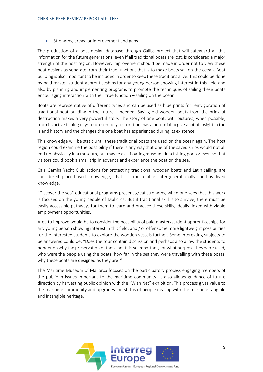Strengths, areas for improvement and gaps

The production of a boat design database through Gàlibs project that will safeguard all this information for the future generations, even if all traditional boats are lost, is considered a major strength of the host region. Ηowever, improvement should be made in order not to view these boat designs as separate from their true function, that is to make boats sail on the ocean. Boat building is also important to be included in order to keep these traditions alive. This could be done by paid master student apprenticeships for any young person showing interest in this field and also by planning and implementing programs to promote the techniques of sailing these boats encouraging interaction with their true function – sailing on the ocean.

\_\_\_\_\_\_\_\_\_\_\_\_\_\_\_\_\_\_\_\_\_\_\_\_\_\_\_\_\_\_\_\_\_\_\_\_\_\_\_\_\_\_\_\_\_\_\_\_\_\_\_\_\_\_\_\_\_\_\_\_\_\_\_\_\_\_\_\_\_\_\_\_\_\_\_\_\_

Boats are representative of different types and can be used as blue prints for reinvigoration of traditional boat building in the future if needed. Saving old wooden boats from the brink of destruction makes a very powerful story. The story of one boat, with pictures, when possible, from its active fishing days to present day restoration, has a potential to give a lot of insight in the island history and the changes the one boat has experienced during its existence.

This knowledge will be static until these traditional boats are used on the ocean again. The host region could examine the possibility if there is any way that one of the saved ships would not all end up physically in a museum, but maybe as a floating museum, in a fishing port or even so that visitors could book a small trip in advance and experience the boat on the sea.

Cala Gamba Yacht Club actions for protecting traditional wooden boats and Latin sailing, are considered place-based knowledge, that is transferable intergenerationally, and is lived knowledge.

"Discover the sea" educational programs present great strengths, when one sees that this work is focused on the young people of Mallorca. But if traditional skill is to survive, there must be easily accessible pathways for them to learn and practice these skills, ideally linked with viable employment opportunities.

Area to improve would be to consider the possibility of paid master/student apprenticeships for any young person showing interest in this field, and / or offer some more lightweight possibilities for the interested students to explore the wooden vessels further. Some interesting subjects to be answered could be: "Does the tour contain discussion and perhaps also allow the students to ponder on why the preservation of these boats is so important, for what purpose they were used, who were the people using the boats, how far in the sea they were travelling with these boats, why these boats are designed as they are?"

The Maritime Museum of Mallorca focuses on the participatory process engaging members of the public in issues important to the maritime community. It also allows guidance of future direction by harvesting public opinion with the "Wish Net" exhibition. This process gives value to the maritime community and upgrades the status of people dealing with the maritime tangible and intangible heritage.

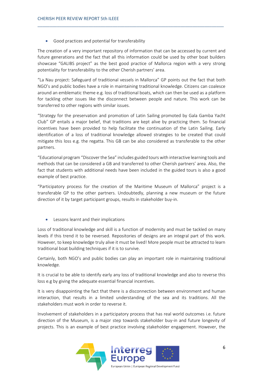Good practices and potential for transferability

The creation of a very important repository of information that can be accessed by current and future generations and the fact that all this information could be used by other boat builders showcase "GALIBS project" as the best good practice of Mallorca region with a very strong potentiality for transferability to the other Cherish partners' area.

\_\_\_\_\_\_\_\_\_\_\_\_\_\_\_\_\_\_\_\_\_\_\_\_\_\_\_\_\_\_\_\_\_\_\_\_\_\_\_\_\_\_\_\_\_\_\_\_\_\_\_\_\_\_\_\_\_\_\_\_\_\_\_\_\_\_\_\_\_\_\_\_\_\_\_\_\_

"La Nau project: Safeguard of traditional vessels in Mallorca" GP points out the fact that both NGO's and public bodies have a role in maintaining traditional knowledge. Citizens can coalesce around an emblematic theme e.g. loss of traditional boats, which can then be used as a platform for tackling other issues like the disconnect between people and nature. This work can be transferred to other regions with similar issues.

"Strategy for the preservation and promotion of Latin Sailing promoted by Gala Gamba Yacht Club" GP entails a major belief, that traditions are kept alive by practicing them. So financial incentives have been provided to help facilitate the continuation of the Latin Sailing. Early identification of a loss of traditional knowledge allowed strategies to be created that could mitigate this loss e.g. the regatta. This GB can be also considered as transferable to the other partners.

"Educational program "Discover the Sea" includes guided tours with interactive learning tools and methods that can be considered a GB and transferred to other Cherish partners' area. Also, the fact that students with additional needs have been included in the guided tours is also a good example of best practice.

"Participatory process for the creation of the Maritime Museum of Mallorca" project is a transferable GP to the other partners. Undoubtedly, planning a new museum or the future direction of it by target participant groups, results in stakeholder buy-in.

• Lessons learnt and their implications

Loss of traditional knowledge and skill is a function of modernity and must be tackled on many levels if this trend it to be reversed. Repositories of designs are an integral part of this work. However, to keep knowledge truly alive it must be lived! More people must be attracted to learn traditional boat building techniques if it is to survive.

Certainly, both NGO's and public bodies can play an important role in maintaining traditional knowledge.

It is crucial to be able to identify early any loss of traditional knowledge and also to reverse this loss e.g by giving the adequate essential financial incentives.

It is very disappointing the fact that there is a disconnection between environment and human interaction, that results in a limited understanding of the sea and its traditions. All the stakeholders must work in order to reverse it.

Involvement of stakeholders in a participatory process that has real world outcomes i.e. future direction of the Museum, is a major step towards stakeholder buy-in and future longevity of projects. This is an example of best practice involving stakeholder engagement. However, the

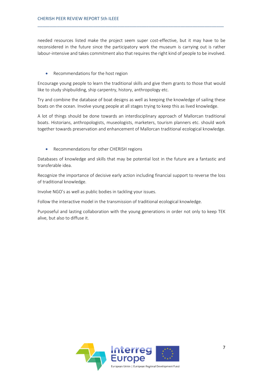needed resources listed make the project seem super cost-effective, but it may have to be reconsidered in the future since the participatory work the museum is carrying out is rather labour-intensive and takes commitment also that requires the right kind of people to be involved.

\_\_\_\_\_\_\_\_\_\_\_\_\_\_\_\_\_\_\_\_\_\_\_\_\_\_\_\_\_\_\_\_\_\_\_\_\_\_\_\_\_\_\_\_\_\_\_\_\_\_\_\_\_\_\_\_\_\_\_\_\_\_\_\_\_\_\_\_\_\_\_\_\_\_\_\_\_

• Recommendations for the host region

Encourage young people to learn the traditional skills and give them grants to those that would like to study shipbuilding, ship carpentry, history, anthropology etc.

Try and combine the database of boat designs as well as keeping the knowledge of sailing these boats on the ocean. Involve young people at all stages trying to keep this as lived knowledge.

A lot of things should be done towards an interdisciplinary approach of Mallorcan traditional boats. Historians, anthropologists, museologists, marketers, tourism planners etc. should work together towards preservation and enhancement of Mallorcan traditional ecological knowledge.

• Recommendations for other CHERISH regions

Databases of knowledge and skills that may be potential lost in the future are a fantastic and transferable idea.

Recognize the importance of decisive early action including financial support to reverse the loss of traditional knowledge.

Involve NGO's as well as public bodies in tackling your issues.

Follow the interactive model in the transmission of traditional ecological knowledge.

Purposeful and lasting collaboration with the young generations in order not only to keep TEK alive, but also to diffuse it.

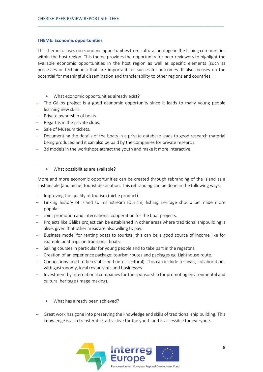### **THEME: Economic opportunities**

This theme focuses on economic opportunities from cultural heritage in the fishing communities within the host region. This theme provides the opportunity for peer reviewers to highlight the available economic opportunities in the host region as well as specific elements (such as processes or techniques) that are important for successful outcomes. It also focuses on the potential for meaningful dissemination and transferability to other regions and countries.

\_\_\_\_\_\_\_\_\_\_\_\_\_\_\_\_\_\_\_\_\_\_\_\_\_\_\_\_\_\_\_\_\_\_\_\_\_\_\_\_\_\_\_\_\_\_\_\_\_\_\_\_\_\_\_\_\_\_\_\_\_\_\_\_\_\_\_\_\_\_\_\_\_\_\_\_\_

- What economic opportunities already exist?
- − The Gàlibs project is a good economic opportunity since it leads to many young people learning new skills.
- − Private ownership of boats.
- − Regattas in the private clubs.
- − Sale of Museum tickets.
- − Documenting the details of the boats in a private database leads to good research material being produced and it can also be paid by the companies for private research.
- − 3d models in the workshops attract the youth and make it more interactive.
	- What possibilities are available?

More and more economic opportunities can be created through rebranding of the island as a sustainable (and niche) tourist destination. This rebranding can be done in the following ways:

- Improving the quality of tourism (niche product).
- − Linking history of island to mainstream tourism; fishing heritage should be made more popular.
- − Joint promotion and international cooperation for the boat projects.
- − Projects like Gàlibs project can be established in other areas where traditional shipbuilding is alive, given that other areas are also willing to pay.
- − Business model for renting boats to tourists; this can be a good source of income like for example boat trips on traditional boats.
- − Sailing courses in particular for young people and to take part in the regatta's.
- − Creation of an experience package: tourism routes and packages eg. Lighthouse route.
- − Connections need to be established (inter-sectoral). This can include festivals, collaborations with gastronomy, local restaurants and businesses.
- − Investment by international companies for the sponsorship for promoting environmental and cultural heritage (image making).
	- What has already been achieved?
- − Great work has gone into preserving the knowledge and skills of traditional ship building. This knowledge is also transferable, attractive for the youth and is accessible for everyone.

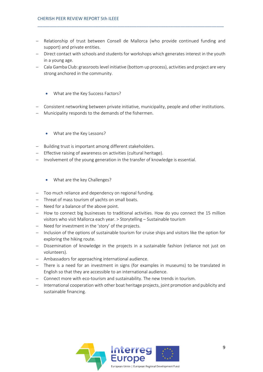− Relationship of trust between Consell de Mallorca (who provide continued funding and support) and private entities.

\_\_\_\_\_\_\_\_\_\_\_\_\_\_\_\_\_\_\_\_\_\_\_\_\_\_\_\_\_\_\_\_\_\_\_\_\_\_\_\_\_\_\_\_\_\_\_\_\_\_\_\_\_\_\_\_\_\_\_\_\_\_\_\_\_\_\_\_\_\_\_\_\_\_\_\_\_

- − Direct contact with schools and students for workshops which generates interest in the youth in a young age.
- − Cala Gamba Club: grassroots level initiative (bottom up process), activities and project are very strong anchored in the community.
	- What are the Key Success Factors?
- − Consistent networking between private initiative, municipality, people and other institutions.
- Municipality responds to the demands of the fishermen.
	- What are the Key Lessons?
- − Building trust is important among different stakeholders.
- − Effective raising of awareness on activities (cultural heritage).
- − Involvement of the young generation in the transfer of knowledge is essential.
	- What are the key Challenges?
- − Too much reliance and dependency on regional funding.
- − Threat of mass tourism of yachts on small boats.
- − Need for a balance of the above point.
- − How to connect big businesses to traditional activities. How do you connect the 15 million visitors who visit Mallorca each year. > Storytelling – Sustainable tourism
- − Need for investment in the 'story' of the projects.
- − Inclusion of the options of sustainable tourism for cruise ships and visitors like the option for exploring the hiking route.
- − Dissemination of knowledge in the projects in a sustainable fashion (reliance not just on volunteers).
- − Ambassadors for approaching international audience.
- − There is a need for an investment in signs (for examples in museums) to be translated in English so that they are accessible to an international audience.
- − Connect more with eco-tourism and sustainability. The new trends in tourism.
- − International cooperation with other boat heritage projects, joint promotion and publicity and sustainable financing.

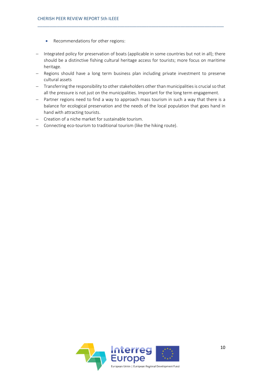- Recommendations for other regions:
- − Integrated policy for preservation of boats (applicable in some countries but not in all); there should be a distinctive fishing cultural heritage access for tourists; more focus on maritime heritage.

\_\_\_\_\_\_\_\_\_\_\_\_\_\_\_\_\_\_\_\_\_\_\_\_\_\_\_\_\_\_\_\_\_\_\_\_\_\_\_\_\_\_\_\_\_\_\_\_\_\_\_\_\_\_\_\_\_\_\_\_\_\_\_\_\_\_\_\_\_\_\_\_\_\_\_\_\_

- − Regions should have a long term business plan including private investment to preserve cultural assets
- − Transferring the responsibility to other stakeholders other than municipalities is crucial so that all the pressure is not just on the municipalities. Important for the long term engagement.
- − Partner regions need to find a way to approach mass tourism in such a way that there is a balance for ecological preservation and the needs of the local population that goes hand in hand with attracting tourists.
- − Creation of a niche market for sustainable tourism.
- − Connecting eco-tourism to traditional tourism (like the hiking route).

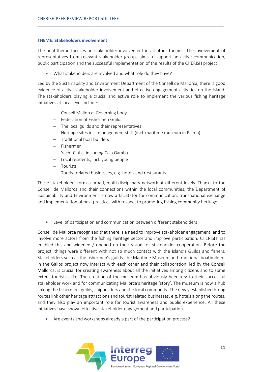### **THEME: Stakeholders involvement**

The final theme focuses on stakeholder involvement in all other themes. The involvement of representatives from relevant stakeholder groups aims to support an active communication, public participation and the successful implementation of the results of the CHERISH project

\_\_\_\_\_\_\_\_\_\_\_\_\_\_\_\_\_\_\_\_\_\_\_\_\_\_\_\_\_\_\_\_\_\_\_\_\_\_\_\_\_\_\_\_\_\_\_\_\_\_\_\_\_\_\_\_\_\_\_\_\_\_\_\_\_\_\_\_\_\_\_\_\_\_\_\_\_

• What stakeholders are involved and what role do they have?

Led by the Sustainability and Environment Department of the Consell de Mallorca, there is good evidence of active stakeholder involvement and effective engagement activities on the Island. The stakeholders playing a crucial and active role to implement the various fishing heritage initiatives at local level include:

- − Consell Mallorca: Governing body
- − Federation of Fishermen Guilds
- − The local guilds and their representatives
- − Heritage sites incl. management staff (incl. maritime museum in Palma)
- − Traditional boat builders
- − Fishermen
- − Yacht Clubs, including Cala Gamba
- − Local residents, incl. young people
- − Tourists
- − Tourist related businesses, e.g. hotels and restaurants

These stakeholders form a broad, multi-disciplinary network at different levels. Thanks to the Consell de Mallorca and their connections within the local communities, the Department of Sustainability and Environment is now a facilitator for communication, transnational exchange and implementation of best practices with respect to promoting fishing community heritage.

• Level of participation and communication between different stakeholders

Consell de Mallorca recognised that there is a need to improve stakeholder engagement, and to involve more actors from the fishing heritage sector and improve participation. CHERISH has enabled this and widened / opened up their vision for stakeholder cooperation. Before the project, things were different with not so much contact with the Island's Guilds and fishers. Stakeholders such as the fishermen's guilds, the Maritime Museum and traditional boatbuilders in the Gàlibs project now interact with each other and their collaboration, led by the Consell Mallorca, is crucial for creating awareness about all the initiatives among citizens and to some extent tourists alike. The creation of the museum has obviously been key to their successful stakeholder work and for communicating Mallorca's heritage 'story'. The museum is now a hub linking the fishermen, guilds, shipbuilders and the local community. The newly established hiking routes link other heritage attractions and tourist related businesses, e.g. hotels along the routes, and they also play an important role for tourist awareness and public experience. All these initiatives have shown effective stakeholder engagement and participation.

• Are events and workshops already a part of the participation process?

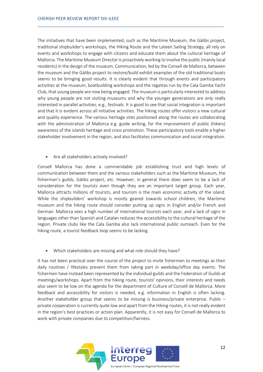The initiatives that have been implemented, such as the Maritime Museum, the Gàlibs project, traditional shipbuilder's workshops, the Hiking Route and the Lateen Sailing Strategy, all rely on events and workshops to engage with citizens and educate them about the cultural heritage of Mallorca. The Maritime Museum Director is proactively working to involve the public (mainly local residents) in the design of the museum. Communication, led by the Consell de Mallorca, between the museum and the Gàlibs project to restore/build exhibit examples of the old traditional boats seems to be bringing good results. It is clearly evident that through events and participatory activities at the museum, boatbuilding workshops and the regattas run by the Cala Gamba Yacht Club, that young people are now being engaged. The museum is particularly interested to address why young people are not visiting museums and why the younger generations are only really interested in parallel activities, e.g., festivals. It is good to see that social integration is important and that it is evident across all initiative activities. The hiking routes offer visitors a new cultural and quality experience. The various heritage sites positioned along the routes are collaborating with the administration of Mallorca e.g. guide writing, for the improvement of public (hikers) awareness of the islands heritage and cross promotion. These participatory tools enable a higher stakeholder involvement in the region, and also facilitates communication and social integration.

\_\_\_\_\_\_\_\_\_\_\_\_\_\_\_\_\_\_\_\_\_\_\_\_\_\_\_\_\_\_\_\_\_\_\_\_\_\_\_\_\_\_\_\_\_\_\_\_\_\_\_\_\_\_\_\_\_\_\_\_\_\_\_\_\_\_\_\_\_\_\_\_\_\_\_\_\_

• Are all stakeholders actively involved?

Consell Mallorca has done a commendable job establishing trust and high levels of communication between them and the various stakeholders such as the Maritime Museum, the fisherman's guilds, Gàlibs project, etc. However, in general there does seem to be a lack of consideration for the tourists even though they are an important target group. Each year, Mallorca attracts millions of tourists, and tourism is the main economic activity of the island. While the shipbuilders' workshop is mostly geared towards school children, the Maritime museum and the hiking route should consider putting up signs in English and/or French and German. Mallorca sees a high number of international tourists each year, and a lack of signs in languages other than Spanish and Catalan reduces the accessibility to the cultural heritage of the region. Private clubs like the Cala Gamba also lack international public outreach. Even for the hiking route, a tourist feedback loop seems to be lacking.

• Which stakeholders are missing and what role should they have?

It has not been practical over the course of the project to invite fishermen to meetings as their daily routines / lifestyles prevent them from taking part in weekday/office day events. The fishermen have instead been represented by the individual guilds and the Federation of Guilds at meetings/workshops. Apart from the hiking route, tourists' opinions, their interests and needs also seem to be low on the agenda for the department of Culture of Consell de Mallorca. More feedback and accessibility for visitors is needed, e.g. information in English is often lacking. Another stakeholder group that seems to be missing is business/private enterprise. Public – private cooperation is currently quite low and apart from the Hiking routes, it is not really evident in the region's best practices or action plan. Apparently, it is not easy for Consell de Mallorca to work with private companies due to competition/fairness.